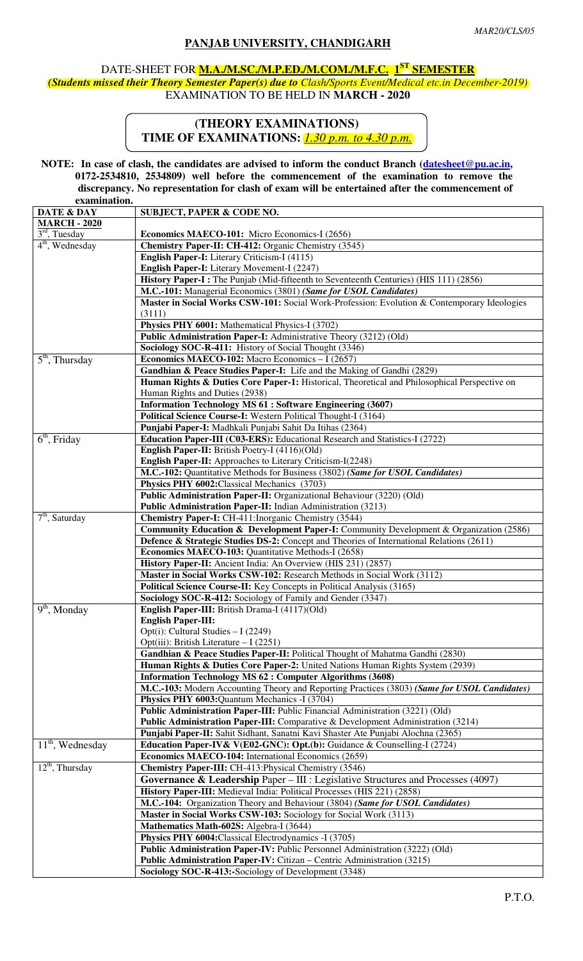## **PANJAB UNIVERSITY, CHANDIGARH**

## DATE-SHEET FOR **M.A./M.SC./M.P.ED./M.COM./M.F.C. 1 ST SEMESTER**

*(Students missed their Theory Semester Paper(s) due to Clash/Sports Event/Medical etc.in December-2019)* EXAMINATION TO BE HELD IN **MARCH - 2020** 

## **(THEORY EXAMINATIONS) TIME OF EXAMINATIONS:** *1.30 p.m. to 4.30 p.m.*

**NOTE:** In case of clash, the candidates are advised to inform the conduct Branch (datesheet@pu.ac.in,  **0172-2534810, 2534809) well before the commencement of the examination to remove the discrepancy. No representation for clash of exam will be entertained after the commencement of examination.**

| <u>сланницитов.</u>            |                                                                                                   |
|--------------------------------|---------------------------------------------------------------------------------------------------|
| DATE & DAY                     | <b>SUBJECT, PAPER &amp; CODE NO.</b>                                                              |
| <b>MARCH - 2020</b>            |                                                                                                   |
| $3rd$ , Tuesday                | Economics MAECO-101: Micro Economics-I (2656)                                                     |
| $4th$ , Wednesday              | Chemistry Paper-II: CH-412: Organic Chemistry (3545)                                              |
|                                | <b>English Paper-I:</b> Literary Criticism-I (4115)                                               |
|                                | English Paper-I: Literary Movement-I (2247)                                                       |
|                                | History Paper-I: The Punjab (Mid-fifteenth to Seventeenth Centuries) (HIS 111) (2856)             |
|                                | M.C.-101: Managerial Economics (3801) (Same for USOL Candidates)                                  |
|                                | Master in Social Works CSW-101: Social Work-Profession: Evolution & Contemporary Ideologies       |
|                                |                                                                                                   |
|                                | (3111)                                                                                            |
|                                | Physics PHY 6001: Mathematical Physics-I (3702)                                                   |
|                                | Public Administration Paper-I: Administrative Theory (3212) (Old)                                 |
|                                | Sociology SOC-R-411: History of Social Thought (3346)                                             |
| $5th$ , Thursday               | Economics MAECO-102: Macro Economics - I (2657)                                                   |
|                                | Gandhian & Peace Studies Paper-I: Life and the Making of Gandhi (2829)                            |
|                                | Human Rights & Duties Core Paper-1: Historical, Theoretical and Philosophical Perspective on      |
|                                | Human Rights and Duties (2938)                                                                    |
|                                | <b>Information Technology MS 61 : Software Engineering (3607)</b>                                 |
|                                | Political Science Course-I: Western Political Thought-I (3164)                                    |
|                                | Punjabi Paper-I: Madhkali Punjabi Sahit Da Itihas (2364)                                          |
|                                |                                                                                                   |
| $6th$ , Friday                 | Education Paper-III (C03-ERS): Educational Research and Statistics-I (2722)                       |
|                                | English Paper-II: British Poetry-I (4116)(Old)                                                    |
|                                | English Paper-II: Approaches to Literary Criticism-I(2248)                                        |
|                                | M.C.-102: Quantitative Methods for Business (3802) (Same for USOL Candidates)                     |
|                                | Physics PHY 6002: Classical Mechanics (3703)                                                      |
|                                | Public Administration Paper-II: Organizational Behaviour (3220) (Old)                             |
|                                | Public Administration Paper-II: Indian Administration (3213)                                      |
| $\overline{7^{th}}$ , Saturday | <b>Chemistry Paper-I:</b> CH-411: Inorganic Chemistry (3544)                                      |
|                                | <b>Community Education &amp; Development Paper-I:</b> Community Development & Organization (2586) |
|                                | Defence & Strategic Studies DS-2: Concept and Theories of International Relations (2611)          |
|                                | <b>Economics MAECO-103: Quantitative Methods-I (2658)</b>                                         |
|                                | History Paper-II: Ancient India: An Overview (HIS 231) (2857)                                     |
|                                |                                                                                                   |
|                                | Master in Social Works CSW-102: Research Methods in Social Work (3112)                            |
|                                | Political Science Course-II: Key Concepts in Political Analysis (3165)                            |
|                                | Sociology SOC-R-412: Sociology of Family and Gender (3347)                                        |
| $9th$ , Monday                 | English Paper-III: British Drama-I (4117)(Old)                                                    |
|                                | <b>English Paper-III:</b>                                                                         |
|                                | Opt(i): Cultural Studies $-1(2249)$                                                               |
|                                | Opt(iii): British Literature $-I(2251)$                                                           |
|                                | Gandhian & Peace Studies Paper-II: Political Thought of Mahatma Gandhi (2830)                     |
|                                | Human Rights & Duties Core Paper-2: United Nations Human Rights System (2939)                     |
|                                | <b>Information Technology MS 62 : Computer Algorithms (3608)</b>                                  |
|                                | M.C.-103: Modern Accounting Theory and Reporting Practices (3803) (Same for USOL Candidates)      |
|                                | Physics PHY 6003: Quantum Mechanics -I (3704)                                                     |
|                                | Public Administration Paper-III: Public Financial Administration (3221) (Old)                     |
|                                | Public Administration Paper-III: Comparative & Development Administration (3214)                  |
|                                |                                                                                                   |
|                                | Punjabi Paper-II: Sahit Sidhant, Sanatni Kavi Shaster Ate Punjabi Alochna (2365)                  |
| $11th$ , Wednesday             | Education Paper-IV& V(E02-GNC): Opt.(b): Guidance & Counselling-I (2724)                          |
|                                | Economics MAECO-104: International Economics (2659)                                               |
| $12th$ , Thursday              | Chemistry Paper-III: CH-413: Physical Chemistry (3546)                                            |
|                                | Governance & Leadership Paper - III : Legislative Structures and Processes (4097)                 |
|                                | History Paper-III: Medieval India: Political Processes (HIS 221) (2858)                           |
|                                | M.C.-104: Organization Theory and Behaviour (3804) (Same for USOL Candidates)                     |
|                                | Master in Social Works CSW-103: Sociology for Social Work (3113)                                  |
|                                | Mathematics Math-602S: Algebra-I (3644)                                                           |
|                                | Physics PHY 6004: Classical Electrodynamics -I (3705)                                             |
|                                |                                                                                                   |
|                                | Public Administration Paper-IV: Public Personnel Administration (3222) (Old)                      |
|                                | Public Administration Paper-IV: Citizan – Centric Administration (3215)                           |
|                                | Sociology SOC-R-413:-Sociology of Development (3348)                                              |